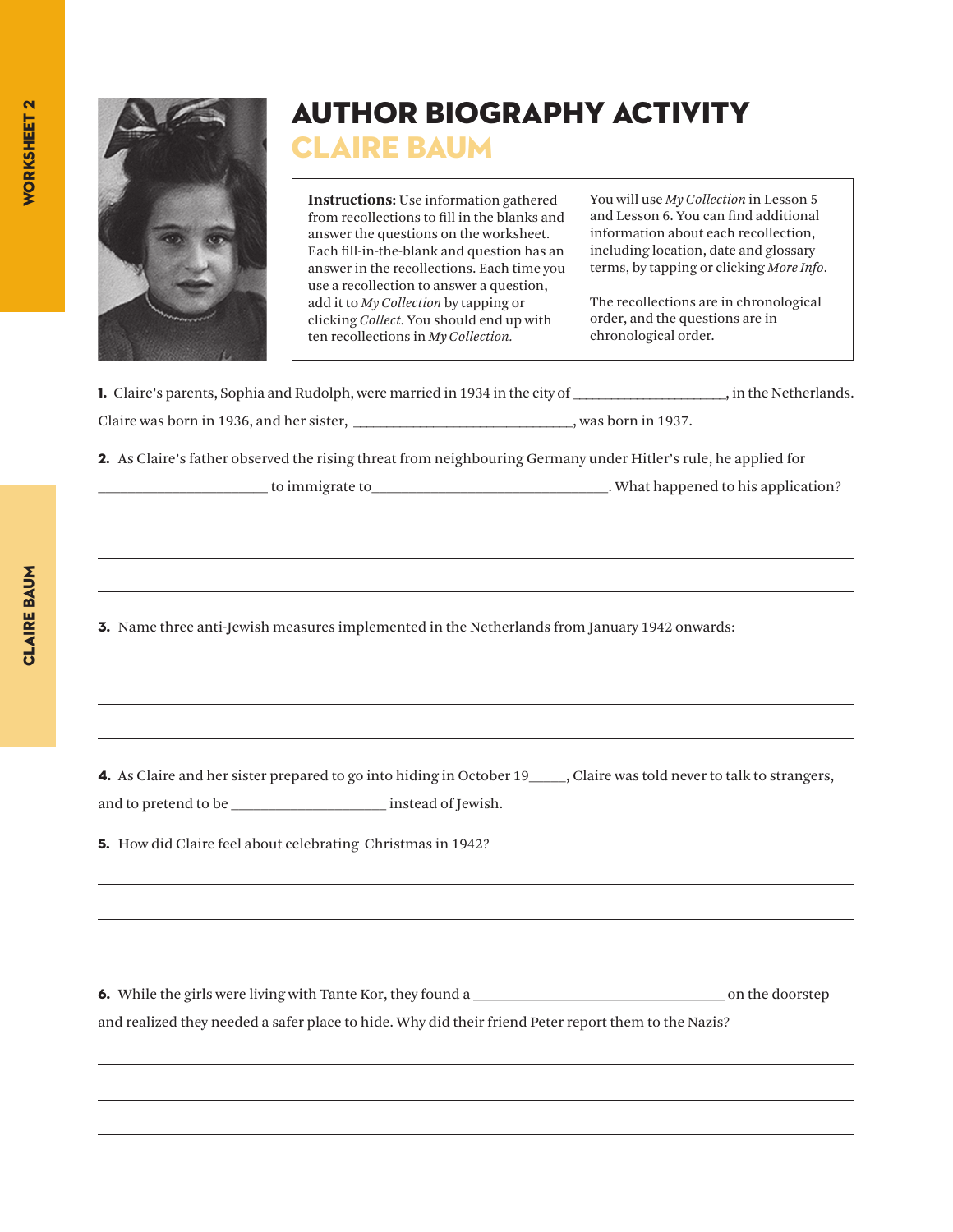

## Author Biography Activity Claire Baum

**Instructions:** Use information gathered from recollections to fill in the blanks and answer the questions on the worksheet. Each fill-in-the-blank and question has an answer in the recollections. Each time you use a recollection to answer a question, add it to *My Collection* by tapping or clicking *Collect.* You should end up with ten recollections in *My Collection.*

You will use *My Collection* in Lesson 5 and Lesson 6. You can find additional information about each recollection, including location, date and glossary terms, by tapping or clicking *More Info*.

The recollections are in chronological order, and the questions are in chronological order.

| 1. Claire's parents, Sophia and Rudolph, were married in 1934 in the city of | . in the Netherlands. |  |
|------------------------------------------------------------------------------|-----------------------|--|
| Claire was born in 1936, and her sister,                                     | was born in 1937.     |  |

2. As Claire's father observed the rising threat from neighbouring Germany under Hitler's rule, he applied for

\_\_\_\_\_\_\_\_\_\_\_\_\_\_\_\_\_\_\_\_\_\_\_ to immigrate to\_\_\_\_\_\_\_\_\_\_\_\_\_\_\_\_\_\_\_\_\_\_\_\_\_\_\_\_\_\_\_\_. What happened to his application?

3. Name three anti-Jewish measures implemented in the Netherlands from January 1942 onwards:

4. As Claire and her sister prepared to go into hiding in October 19 \_\_\_\_, Claire was told never to talk to strangers, and to pretend to be \_\_\_\_\_\_\_\_\_\_\_\_\_\_\_\_\_\_\_\_\_ instead of Jewish.

5. How did Claire feel about celebrating Christmas in 1942?

6. While the girls were living with Tante Kor, they found a \_\_\_\_\_\_\_\_\_\_\_\_\_\_\_\_\_\_\_\_\_\_\_\_\_\_\_\_\_\_\_\_\_\_ on the doorstep and realized they needed a safer place to hide. Why did their friend Peter report them to the Nazis?